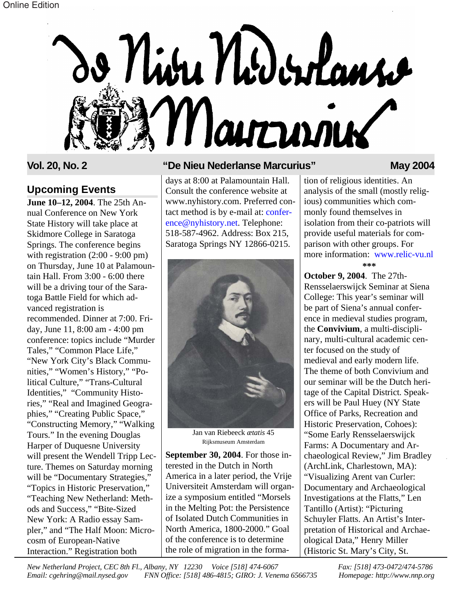

### **Upcoming Events**

**June 10–12, 2004**. The 25th Annual Conference on New York State History will take place at Skidmore College in Saratoga Springs. The conference begins with registration  $(2:00 - 9:00)$  pm) on Thursday, June 10 at Palamountain Hall. From 3:00 - 6:00 there will be a driving tour of the Saratoga Battle Field for which advanced registration is recommended. Dinner at 7:00. Friday, June 11, 8:00 am - 4:00 pm conference: topics include "Murder Tales," "Common Place Life," "New York City's Black Communities," "Women's History," "Political Culture," "Trans-Cultural Identities," "Community Histories," "Real and Imagined Geographies," "Creating Public Space," "Constructing Memory," "Walking Tours." In the evening Douglas Harper of Duquesne University will present the Wendell Tripp Lecture. Themes on Saturday morning will be "Documentary Strategies," "Topics in Historic Preservation," "Teaching New Netherland: Methods and Success," "Bite-Sized New York: A Radio essay Sampler," and "The Half Moon: Microcosm of European-Native Interaction." Registration both

### **Vol. 20, No. 2 "De Nieu Nederlanse Marcurius" May 2004**

days at 8:00 at Palamountain Hall. Consult the conference website at www.nyhistory.com. Preferred con[tact method is by e-mail at: confer](mailto:conference@nyhistory.net)ence@nyhistory.net. Telephone: 518-587-4962. Address: Box 215, Saratoga Springs NY 12866-0215.



Jan van Riebeeck *ætatis* 45 Rijksmuseum Amsterdam

**September 30, 2004**. For those interested in the Dutch in North America in a later period, the Vrije Universiteit Amsterdam will organize a symposium entitled "Morsels in the Melting Pot: the Persistence of Isolated Dutch Communities in North America, 1800-2000." Goal of the conference is to determine the role of migration in the forma-

tion of religious identities. An analysis of the small (mostly religious) communities which commonly found themselves in isolation from their co-patriots will provide useful materials for comparison with other groups. For more information: [www.relic-vu.nl](http://www.relic-vu.nl) **\*\*\***

**October 9, 2004**. The 27th-Rensselaerswijck Seminar at Siena College: This year's seminar will be part of Siena's annual conference in medieval studies program, the **Convivium**, a multi-disciplinary, multi-cultural academic center focused on the study of medieval and early modern life. The theme of both Convivium and our seminar will be the Dutch heritage of the Capital District. Speakers will be Paul Huey (NY State Office of Parks, Recreation and Historic Preservation, Cohoes): "Some Early Rensselaerswijck Farms: A Documentary and Archaeological Review," Jim Bradley (ArchLink, Charlestown, MA): "Visualizing Arent van Curler: Documentary and Archaeological Investigations at the Flatts," Len Tantillo (Artist): "Picturing Schuyler Flatts. An Artist's Interpretation of Historical and Archaeological Data," Henry Miller (Historic St. Mary's City, St.

*New Netherland Project, CEC 8th Fl., Albany, NY 12230 Voice [518] 474-6067 Fax: [518] 473-0472/474-5786 Email: cgehring@mail.nysed.gov FNN Office: [518] 486-4815; GIRO: J. Venema 6566735 Homepage: http://www.nnp.org*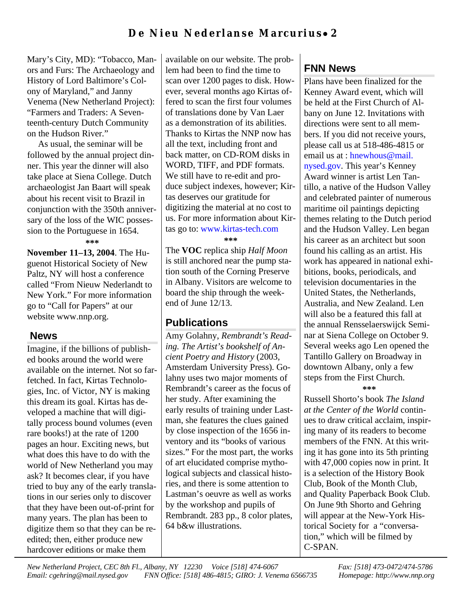## **De Nieu Nederlanse Marcurius** • **2**

Mary's City, MD): "Tobacco, Manors and Furs: The Archaeology and History of Lord Baltimore's Colony of Maryland," and Janny Venema (New Netherland Project): "Farmers and Traders: A Seventeenth-century Dutch Community on the Hudson River."

As usual, the seminar will be followed by the annual project dinner. This year the dinner will also take place at Siena College. Dutch archaeologist Jan Baart will speak about his recent visit to Brazil in conjunction with the 350th anniversary of the loss of the WIC possession to the Portuguese in 1654.

**\*\*\***

**November 11–13, 2004**. The Huguenot Historical Society of New Paltz, NY will host a conference called "From Nieuw Nederlandt to New York." For more information go to "Call for Papers" at our website www.nnp.org.

### **News**

Imagine, if the billions of published books around the world were available on the internet. Not so farfetched. In fact, Kirtas Technologies, Inc. of Victor, NY is making this dream its goal. Kirtas has developed a machine that will digitally process bound volumes (even rare books!) at the rate of 1200 pages an hour. Exciting news, but what does this have to do with the world of New Netherland you may ask? It becomes clear, if you have tried to buy any of the early translations in our series only to discover that they have been out-of-print for many years. The plan has been to digitize them so that they can be reedited; then, either produce new hardcover editions or make them

available on our website. The problem had been to find the time to scan over 1200 pages to disk. However, several months ago Kirtas offered to scan the first four volumes of translations done by Van Laer as a demonstration of its abilities. Thanks to Kirtas the NNP now has all the text, including front and back matter, on CD-ROM disks in WORD, TIFF, and PDF formats. We still have to re-edit and produce subject indexes, however; Kirtas deserves our gratitude for digitizing the material at no cost to us. For more information about Kirtas go to: [www.kirtas-tech.com](http://www.kirtas-tech.com) **\*\*\***

The **VOC** replica ship *Half Moon* is still anchored near the pump station south of the Corning Preserve in Albany. Visitors are welcome to board the ship through the weekend of June 12/13.

### **Publications**

Amy Golahny, *Rembrandt's Reading. The Artist's bookshelf of Ancient Poetry and History* (2003, Amsterdam University Press). Golahny uses two major moments of Rembrandt's career as the focus of her study. After examining the early results of training under Lastman, she features the clues gained by close inspection of the 1656 inventory and its "books of various sizes." For the most part, the works of art elucidated comprise mythological subjects and classical histories, and there is some attention to Lastman's oeuvre as well as works by the workshop and pupils of Rembrandt. 283 pp., 8 color plates, 64 b&w illustrations.

# **FNN News**

Plans have been finalized for the Kenney Award event, which will be held at the First Church of Albany on June 12. Invitations with directions were sent to all members. If you did not receive yours, please call us at 518-486-4815 or email us at : hnewhous@mail. [nysed.gov. This year's Kenney](mailto:hnewhous@mail.nysed.gov) Award winner is artist Len Tantillo, a native of the Hudson Valley and celebrated painter of numerous maritime oil paintings depicting themes relating to the Dutch period and the Hudson Valley. Len began his career as an architect but soon found his calling as an artist. His work has appeared in national exhibitions, books, periodicals, and television documentaries in the United States, the Netherlands, Australia, and New Zealand. Len will also be a featured this fall at the annual Rensselaerswijck Seminar at Siena College on October 9. Several weeks ago Len opened the Tantillo Gallery on Broadway in downtown Albany, only a few steps from the First Church.

### **\*\*\***

Russell Shorto's book *The Island at the Center of the World* continues to draw critical acclaim, inspiring many of its readers to become members of the FNN. At this writing it has gone into its 5th printing with 47,000 copies now in print. It is a selection of the History Book Club, Book of the Month Club, and Quality Paperback Book Club. On June 9th Shorto and Gehring will appear at the New-York Historical Society for a "conversation," which will be filmed by C-SPAN.

*New Netherland Project, CEC 8th Fl., Albany, NY 12230 Voice [518] 474-6067 Fax: [518] 473-0472/474-5786 Email: cgehring@mail.nysed.gov FNN Office: [518] 486-4815; GIRO: J. Venema 6566735 Homepage: http://www.nnp.org*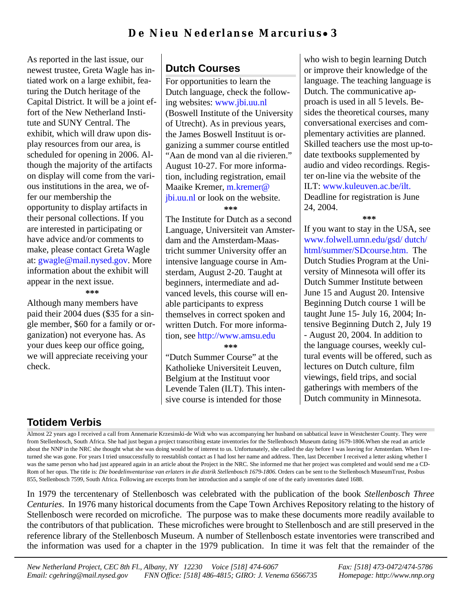As reported in the last issue, our newest trustee, Greta Wagle has intiated work on a large exhibit, featuring the Dutch heritage of the Capital District. It will be a joint effort of the New Netherland Institute and SUNY Central. The exhibit, which will draw upon display resources from our area, is scheduled for opening in 2006. Although the majority of the artifacts on display will come from the various institutions in the area, we offer our membership the opportunity to display artifacts in their personal collections. If you are interested in participating or have advice and/or comments to make, please contact Greta Wagle [at: gwagle@mail.nysed.gov. More](mailto:gwagel@mail.nysed.gov) information about the exhibit will appear in the next issue.

#### **\*\*\***

Although many members have paid their 2004 dues (\$35 for a single member, \$60 for a family or organization) not everyone has. As your dues keep our office going, we will appreciate receiving your check.

# **Dutch Courses**

For opportunities to learn the Dutch language, check the follow[ing websites: www.jbi.uu.nl](http://www.jbi.uu.nl) (Boswell Institute of the University of Utrecht). As in previous years, the James Boswell Instituut is organizing a summer course entitled "Aan de mond van al die rivieren." August 10-27. For more information, including registration, email Maaike Kremer, m.kremer@ [jbi.uu.nl or look on the website.](mailto:m.kremer@jbi.uu.nl) **\*\*\***

The Institute for Dutch as a second Language, Universiteit van Amsterdam and the Amsterdam-Maastricht summer University offer an intensive language course in Amsterdam, August 2-20. Taught at beginners, intermediate and advanced levels, this course will enable participants to express themselves in correct spoken and written Dutch. For more information, se[e http://www.amsu.edu](http://www.amsu.edu)

**\*\*\***

"Dutch Summer Course" at the Katholieke Universiteit Leuven, Belgium at the Instituut voor Levende Talen (ILT). This intensive course is intended for those

who wish to begin learning Dutch or improve their knowledge of the language. The teaching language is Dutch. The communicative approach is used in all 5 levels. Besides the theoretical courses, many conversational exercises and complementary activities are planned. Skilled teachers use the most up-todate textbooks supplemented by audio and video recordings. Register on-line via the website of the [ILT: www.kuleuven.ac.be/ilt.](http://www.kuleuven.ac.be/ilt) Deadline for registration is June 24, 2004.

**\*\*\***

If you want to stay in the USA, see [www.folwell.umn.edu/gsd/ dutch/](http://www.folwell.umn.edu/gsd/dutch/html/summer/SDcourse.htm) html/summer/SDcourse.htm. The Dutch Studies Program at the University of Minnesota will offer its Dutch Summer Institute between June 15 and August 20. Intensive Beginning Dutch course 1 will be taught June 15- July 16, 2004; Intensive Beginning Dutch 2, July 19 - August 20, 2004. In addition to the language courses, weekly cultural events will be offered, such as lectures on Dutch culture, film viewings, field trips, and social gatherings with members of the Dutch community in Minnesota.

## **Totidem Verbis**

Almost 22 years ago I received a call from Annemarie Krzesinski-de Widt who was accompanying her husband on sabbatical leave in Westchester County. They were from Stellenbosch, South Africa. She had just begun a project transcribing estate inventories for the Stellenbosch Museum dating 1679-1806.When she read an article about the NNP in the NRC she thought what she was doing would be of interest to us. Unfortunately, she called the day before I was leaving for Amsterdam. When I returned she was gone. For years I tried unsuccessfully to reestablish contact as I had lost her name and address. Then, last December I received a letter asking whether I was the same person who had just appeared again in an article about the Project in the NRC. She informed me that her project was completed and would send me a CD-Rom of her opus. The title is: *Die boedelinventarisse van erlaters in die distrik Stellenbosch 1679-1806*. Orders can be sent to the Stellenbosch MuseumTrust, Posbus 855, Stellenbosch 7599, South Africa. Following are excerpts from her introduction and a sample of one of the early inventories dated 1688.

In 1979 the tercentenary of Stellenbosch was celebrated with the publication of the book *Stellenbosch Three Centuries*. In 1976 many historical documents from the Cape Town Archives Repository relating to the history of Stellenbosch were recorded on microfiche. The purpose was to make these documents more readily available to the contributors of that publication. These microfiches were brought to Stellenbosch and are still preserved in the reference library of the Stellenbosch Museum. A number of Stellenbosch estate inventories were transcribed and the information was used for a chapter in the 1979 publication. In time it was felt that the remainder of the